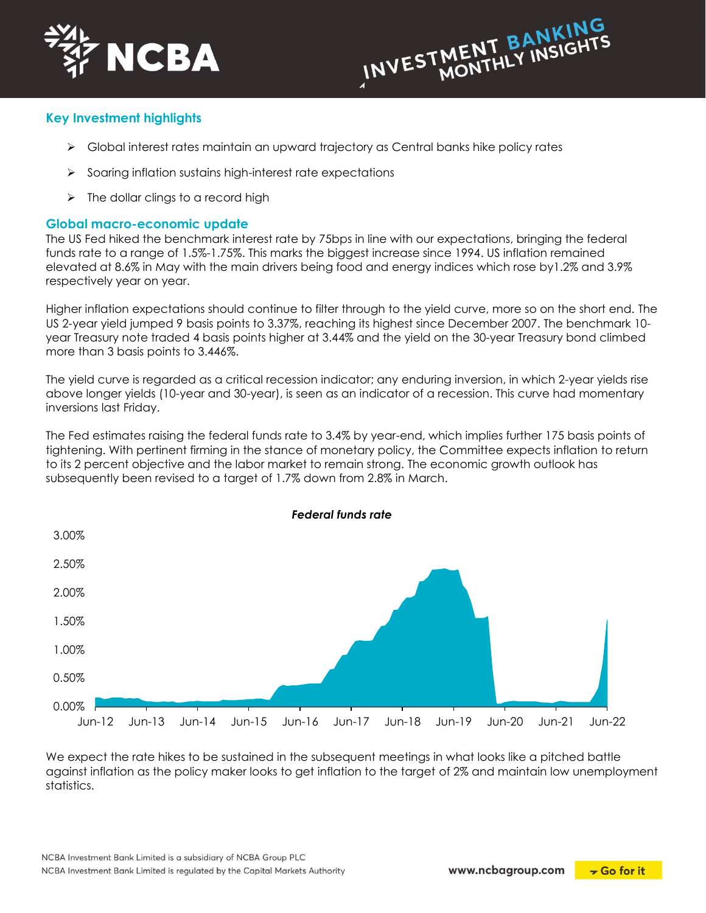



# **Key Investment highlights**

- $\triangleright$  Global interest rates maintain an upward trajectory as Central banks hike policy rates
- $\triangleright$  Soaring inflation sustains high-interest rate expectations
- $\triangleright$  The dollar clings to a record high

#### **Global macro-economic update**

The US Fed hiked the benchmark interest rate by 75bps in line with our expectations, bringing the federal funds rate to a range of 1.5%-1.75%. This marks the biggest increase since 1994. US inflation remained elevated at 8.6% in May with the main drivers being food and energy indices which rose by1.2% and 3.9% respectively year on year.

Higher inflation expectations should continue to filter through to the yield curve, more so on the short end. The US 2-year yield jumped 9 basis points to 3.37%, reaching its highest since December 2007. The benchmark 10 year Treasury note traded 4 basis points higher at 3.44% and the yield on the 30-year Treasury bond climbed more than 3 basis points to 3.446%.

The yield curve is regarded as a critical recession indicator; any enduring inversion, in which 2-year yields rise above longer yields (10-year and 30-year), is seen as an indicator of a recession. This curve had momentary inversions last Friday.

The Fed estimates raising the federal funds rate to 3.4% by year-end, which implies further 175 basis points of tightening. With pertinent firming in the stance of monetary policy, the Committee expects inflation to return to its 2 percent objective and the labor market to remain strong. The economic growth outlook has subsequently been revised to a target of 1.7% down from 2.8% in March.



We expect the rate hikes to be sustained in the subsequent meetings in what looks like a pitched battle against inflation as the policy maker looks to get inflation to the target of 2% and maintain low unemployment statistics.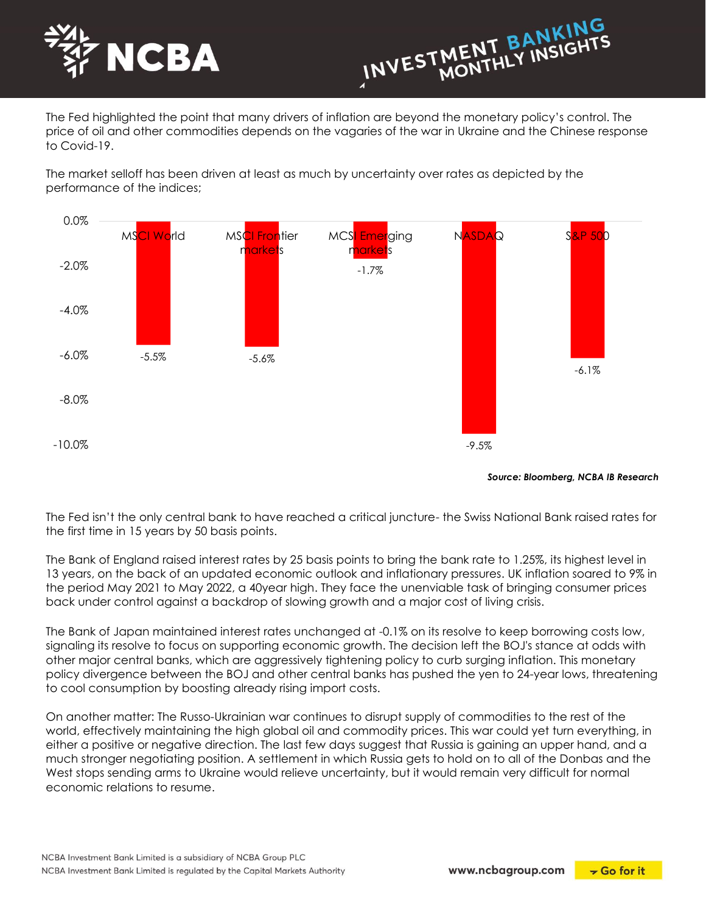



The Fed highlighted the point that many drivers of inflation are beyond the monetary policy's control. The price of oil and other commodities depends on the vagaries of the war in Ukraine and the Chinese response to Covid-19.

The market selloff has been driven at least as much by uncertainty over rates as depicted by the performance of the indices;



*Source: Bloomberg, NCBA IB Research*

The Fed isn't the only central bank to have reached a critical juncture- the Swiss National Bank raised rates for the first time in 15 years by 50 basis points.

The Bank of England raised interest rates by 25 basis points to bring the bank rate to 1.25%, its highest level in 13 years, on the back of an updated economic outlook and inflationary pressures. UK inflation soared to 9% in the period May 2021 to May 2022, a 40year high. They face the unenviable task of bringing consumer prices back under control against a backdrop of slowing growth and a major cost of living crisis.

The Bank of Japan maintained interest rates unchanged at -0.1% on its resolve to keep borrowing costs low, signaling its resolve to focus on supporting economic growth. The decision left the BOJ's stance at odds with other major central banks, which are aggressively tightening policy to curb surging inflation. This monetary policy divergence between the BOJ and other central banks has pushed the yen to 24-year lows, threatening to cool consumption by boosting already rising import costs.

On another matter: The Russo-Ukrainian war continues to disrupt supply of commodities to the rest of the world, effectively maintaining the high global oil and commodity prices. This war could yet turn everything, in either a positive or negative direction. The last few days suggest that Russia is gaining an upper hand, and a much stronger negotiating position. A settlement in which Russia gets to hold on to all of the Donbas and the West stops sending arms to Ukraine would relieve uncertainty, but it would remain very difficult for normal economic relations to resume.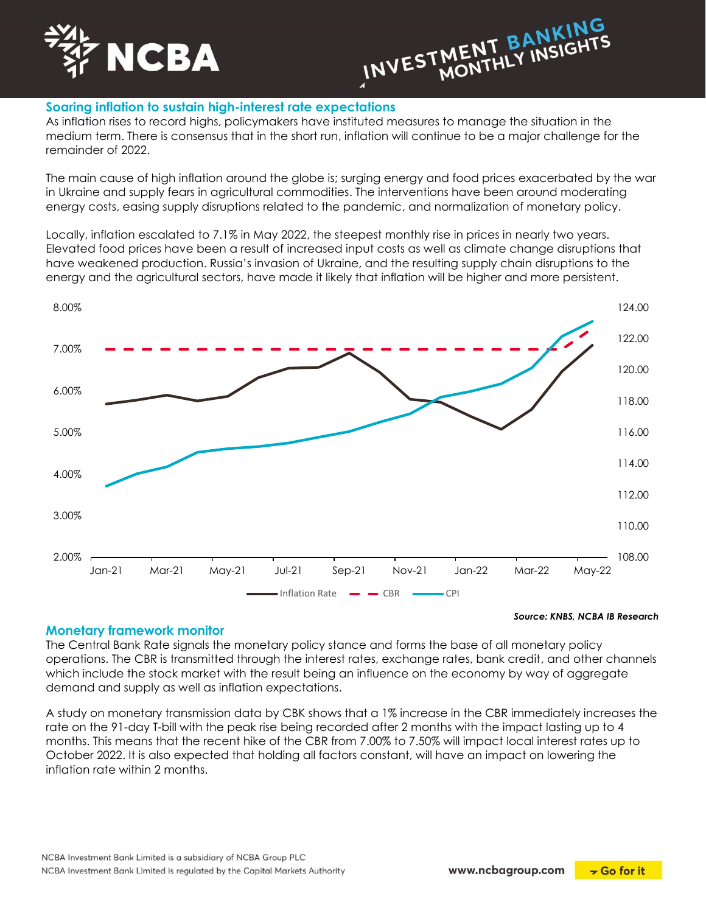



# **Soaring inflation to sustain high-interest rate expectations**

As inflation rises to record highs, policymakers have instituted measures to manage the situation in the medium term. There is consensus that in the short run, inflation will continue to be a major challenge for the remainder of 2022.

The main cause of high inflation around the globe is; surging energy and food prices exacerbated by the war in Ukraine and supply fears in agricultural commodities. The interventions have been around moderating energy costs, easing supply disruptions related to the pandemic, and normalization of monetary policy.

Locally, inflation escalated to 7.1% in May 2022, the steepest monthly rise in prices in nearly two years. Elevated food prices have been a result of increased input costs as well as climate change disruptions that have weakened production. Russia's invasion of Ukraine, and the resulting supply chain disruptions to the energy and the agricultural sectors, have made it likely that inflation will be higher and more persistent.



#### *Source: KNBS, NCBA IB Research*

#### **Monetary framework monitor**

The Central Bank Rate signals the monetary policy stance and forms the base of all monetary policy operations. The CBR is transmitted through the interest rates, exchange rates, bank credit, and other channels which include the stock market with the result being an influence on the economy by way of aggregate demand and supply as well as inflation expectations.

A study on monetary transmission data by CBK shows that a 1% increase in the CBR immediately increases the rate on the 91-day T-bill with the peak rise being recorded after 2 months with the impact lasting up to 4 months. This means that the recent hike of the CBR from 7.00% to 7.50% will impact local interest rates up to October 2022. It is also expected that holding all factors constant, will have an impact on lowering the inflation rate within 2 months.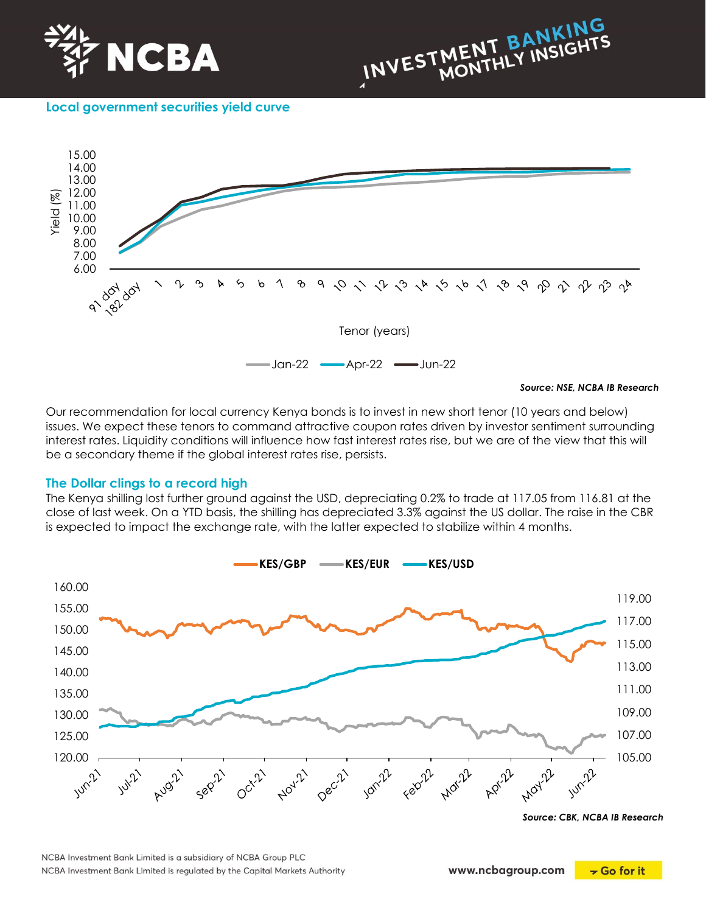



**Local government securities yield curve**



Our recommendation for local currency Kenya bonds is to invest in new short tenor (10 years and below) issues. We expect these tenors to command attractive coupon rates driven by investor sentiment surrounding interest rates. Liquidity conditions will influence how fast interest rates rise, but we are of the view that this will be a secondary theme if the global interest rates rise, persists.

### **The Dollar clings to a record high**

The Kenya shilling lost further ground against the USD, depreciating 0.2% to trade at 117.05 from 116.81 at the close of last week. On a YTD basis, the shilling has depreciated 3.3% against the US dollar. The raise in the CBR is expected to impact the exchange rate, with the latter expected to stabilize within 4 months.



*Source: CBK, NCBA IB Research*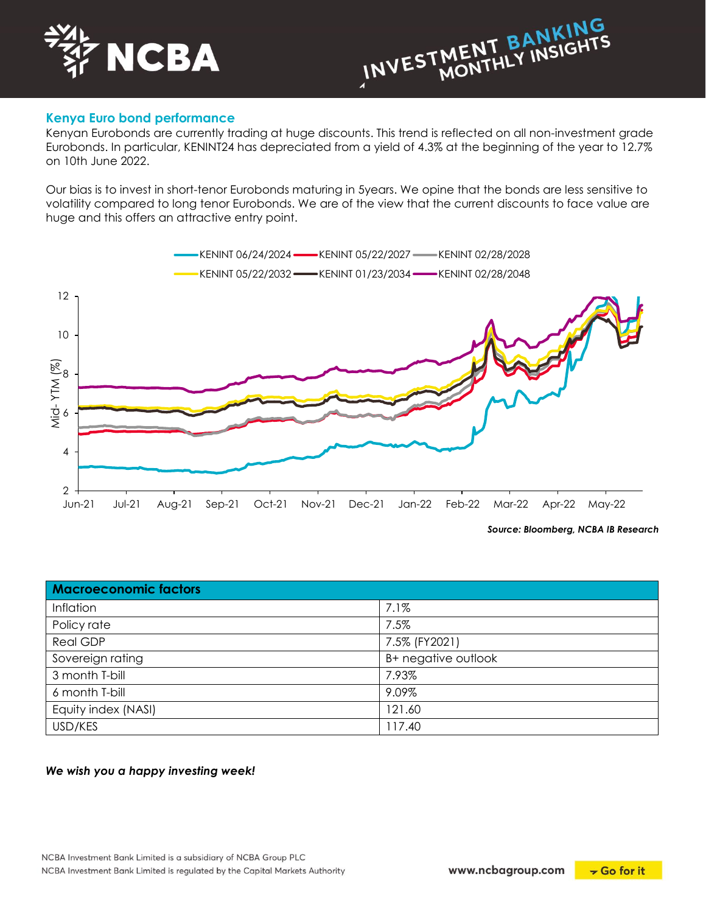



### **Kenya Euro bond performance**

Kenyan Eurobonds are currently trading at huge discounts. This trend is reflected on all non-investment grade Eurobonds. In particular, KENINT24 has depreciated from a yield of 4.3% at the beginning of the year to 12.7% on 10th June 2022.

Our bias is to invest in short-tenor Eurobonds maturing in 5years. We opine that the bonds are less sensitive to volatility compared to long tenor Eurobonds. We are of the view that the current discounts to face value are huge and this offers an attractive entry point.



*Source: Bloomberg, NCBA IB Research*

| <b>Macroeconomic factors</b> |                     |
|------------------------------|---------------------|
| Inflation                    | 7.1%                |
| Policy rate                  | 7.5%                |
| Real GDP                     | 7.5% (FY2021)       |
| Sovereign rating             | B+ negative outlook |
| 3 month T-bill               | 7.93%               |
| 6 month T-bill               | 9.09%               |
| Equity index (NASI)          | 121.60              |
| USD/KES                      | 117.40              |

*We wish you a happy investing week!*